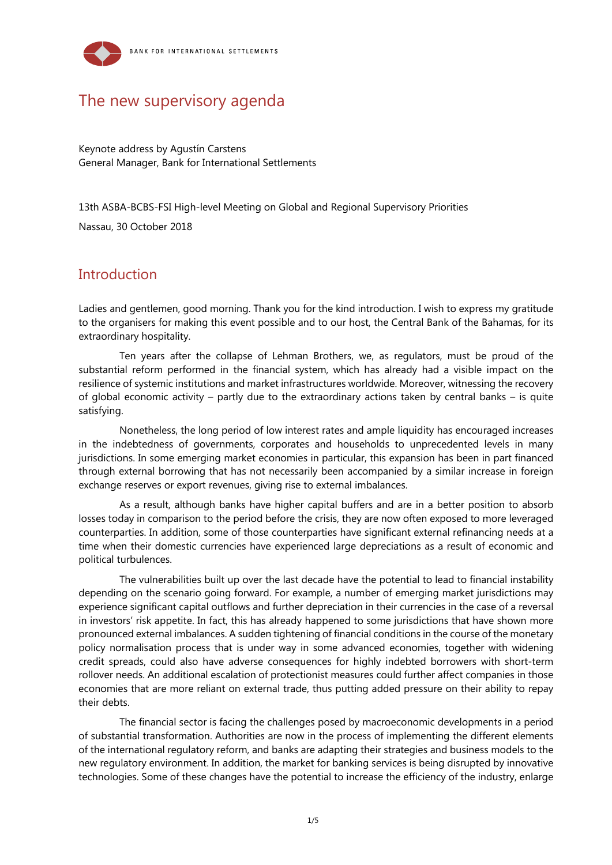

# The new supervisory agenda

Keynote address by Agustín Carstens General Manager, Bank for International Settlements

13th ASBA-BCBS-FSI High-level Meeting on Global and Regional Supervisory Priorities

Nassau, 30 October 2018

### **Introduction**

Ladies and gentlemen, good morning. Thank you for the kind introduction. I wish to express my gratitude to the organisers for making this event possible and to our host, the Central Bank of the Bahamas, for its extraordinary hospitality.

Ten years after the collapse of Lehman Brothers, we, as regulators, must be proud of the substantial reform performed in the financial system, which has already had a visible impact on the resilience of systemic institutions and market infrastructures worldwide. Moreover, witnessing the recovery of global economic activity – partly due to the extraordinary actions taken by central banks – is quite satisfying.

Nonetheless, the long period of low interest rates and ample liquidity has encouraged increases in the indebtedness of governments, corporates and households to unprecedented levels in many jurisdictions. In some emerging market economies in particular, this expansion has been in part financed through external borrowing that has not necessarily been accompanied by a similar increase in foreign exchange reserves or export revenues, giving rise to external imbalances.

As a result, although banks have higher capital buffers and are in a better position to absorb losses today in comparison to the period before the crisis, they are now often exposed to more leveraged counterparties. In addition, some of those counterparties have significant external refinancing needs at a time when their domestic currencies have experienced large depreciations as a result of economic and political turbulences.

The vulnerabilities built up over the last decade have the potential to lead to financial instability depending on the scenario going forward. For example, a number of emerging market jurisdictions may experience significant capital outflows and further depreciation in their currencies in the case of a reversal in investors' risk appetite. In fact, this has already happened to some jurisdictions that have shown more pronounced external imbalances. A sudden tightening of financial conditions in the course of the monetary policy normalisation process that is under way in some advanced economies, together with widening credit spreads, could also have adverse consequences for highly indebted borrowers with short-term rollover needs. An additional escalation of protectionist measures could further affect companies in those economies that are more reliant on external trade, thus putting added pressure on their ability to repay their debts.

The financial sector is facing the challenges posed by macroeconomic developments in a period of substantial transformation. Authorities are now in the process of implementing the different elements of the international regulatory reform, and banks are adapting their strategies and business models to the new regulatory environment. In addition, the market for banking services is being disrupted by innovative technologies. Some of these changes have the potential to increase the efficiency of the industry, enlarge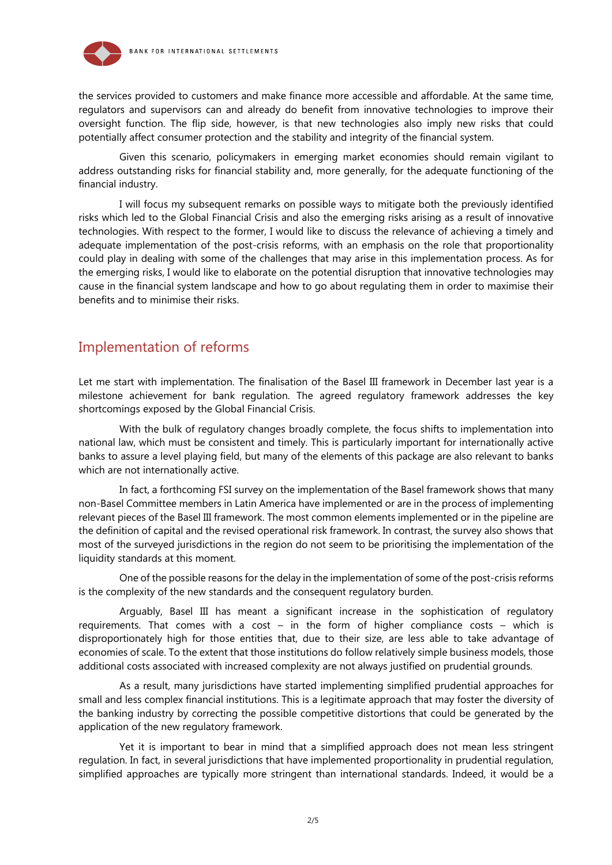

the services provided to customers and make finance more accessible and affordable. At the same time, regulators and supervisors can and already do benefit from innovative technologies to improve their oversight function. The flip side, however, is that new technologies also imply new risks that could potentially affect consumer protection and the stability and integrity of the financial system.

Given this scenario, policymakers in emerging market economies should remain vigilant to address outstanding risks for financial stability and, more generally, for the adequate functioning of the financial industry.

I will focus my subsequent remarks on possible ways to mitigate both the previously identified risks which led to the Global Financial Crisis and also the emerging risks arising as a result of innovative technologies. With respect to the former, I would like to discuss the relevance of achieving a timely and adequate implementation of the post-crisis reforms, with an emphasis on the role that proportionality could play in dealing with some of the challenges that may arise in this implementation process. As for the emerging risks, I would like to elaborate on the potential disruption that innovative technologies may cause in the financial system landscape and how to go about regulating them in order to maximise their benefits and to minimise their risks.

### Implementation of reforms

Let me start with implementation. The finalisation of the Basel III framework in December last year is a milestone achievement for bank regulation. The agreed regulatory framework addresses the key shortcomings exposed by the Global Financial Crisis.

With the bulk of regulatory changes broadly complete, the focus shifts to implementation into national law, which must be consistent and timely. This is particularly important for internationally active banks to assure a level playing field, but many of the elements of this package are also relevant to banks which are not internationally active.

In fact, a forthcoming FSI survey on the implementation of the Basel framework shows that many non-Basel Committee members in Latin America have implemented or are in the process of implementing relevant pieces of the Basel III framework. The most common elements implemented or in the pipeline are the definition of capital and the revised operational risk framework. In contrast, the survey also shows that most of the surveyed jurisdictions in the region do not seem to be prioritising the implementation of the liquidity standards at this moment.

One of the possible reasons for the delay in the implementation of some of the post-crisis reforms is the complexity of the new standards and the consequent regulatory burden.

Arguably, Basel III has meant a significant increase in the sophistication of regulatory requirements. That comes with a cost – in the form of higher compliance costs – which is disproportionately high for those entities that, due to their size, are less able to take advantage of economies of scale. To the extent that those institutions do follow relatively simple business models, those additional costs associated with increased complexity are not always justified on prudential grounds.

As a result, many jurisdictions have started implementing simplified prudential approaches for small and less complex financial institutions. This is a legitimate approach that may foster the diversity of the banking industry by correcting the possible competitive distortions that could be generated by the application of the new regulatory framework.

Yet it is important to bear in mind that a simplified approach does not mean less stringent regulation. In fact, in several jurisdictions that have implemented proportionality in prudential regulation, simplified approaches are typically more stringent than international standards. Indeed, it would be a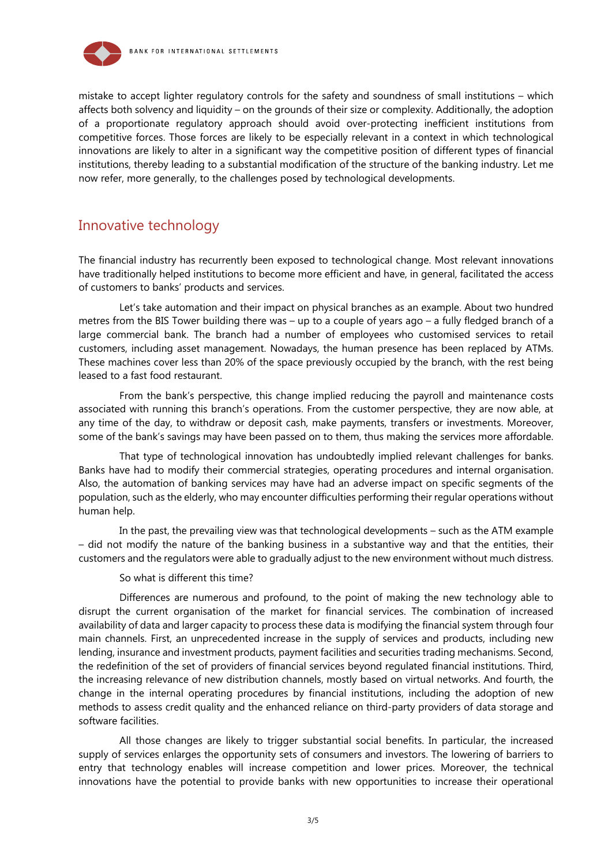

mistake to accept lighter regulatory controls for the safety and soundness of small institutions – which affects both solvency and liquidity – on the grounds of their size or complexity. Additionally, the adoption of a proportionate regulatory approach should avoid over-protecting inefficient institutions from competitive forces. Those forces are likely to be especially relevant in a context in which technological innovations are likely to alter in a significant way the competitive position of different types of financial institutions, thereby leading to a substantial modification of the structure of the banking industry. Let me now refer, more generally, to the challenges posed by technological developments.

# Innovative technology

The financial industry has recurrently been exposed to technological change. Most relevant innovations have traditionally helped institutions to become more efficient and have, in general, facilitated the access of customers to banks' products and services.

Let's take automation and their impact on physical branches as an example. About two hundred metres from the BIS Tower building there was – up to a couple of years ago – a fully fledged branch of a large commercial bank. The branch had a number of employees who customised services to retail customers, including asset management. Nowadays, the human presence has been replaced by ATMs. These machines cover less than 20% of the space previously occupied by the branch, with the rest being leased to a fast food restaurant.

From the bank's perspective, this change implied reducing the payroll and maintenance costs associated with running this branch's operations. From the customer perspective, they are now able, at any time of the day, to withdraw or deposit cash, make payments, transfers or investments. Moreover, some of the bank's savings may have been passed on to them, thus making the services more affordable.

That type of technological innovation has undoubtedly implied relevant challenges for banks. Banks have had to modify their commercial strategies, operating procedures and internal organisation. Also, the automation of banking services may have had an adverse impact on specific segments of the population, such as the elderly, who may encounter difficulties performing their regular operations without human help.

In the past, the prevailing view was that technological developments – such as the ATM example – did not modify the nature of the banking business in a substantive way and that the entities, their customers and the regulators were able to gradually adjust to the new environment without much distress.

So what is different this time?

Differences are numerous and profound, to the point of making the new technology able to disrupt the current organisation of the market for financial services. The combination of increased availability of data and larger capacity to process these data is modifying the financial system through four main channels. First, an unprecedented increase in the supply of services and products, including new lending, insurance and investment products, payment facilities and securities trading mechanisms. Second, the redefinition of the set of providers of financial services beyond regulated financial institutions. Third, the increasing relevance of new distribution channels, mostly based on virtual networks. And fourth, the change in the internal operating procedures by financial institutions, including the adoption of new methods to assess credit quality and the enhanced reliance on third-party providers of data storage and software facilities.

All those changes are likely to trigger substantial social benefits. In particular, the increased supply of services enlarges the opportunity sets of consumers and investors. The lowering of barriers to entry that technology enables will increase competition and lower prices. Moreover, the technical innovations have the potential to provide banks with new opportunities to increase their operational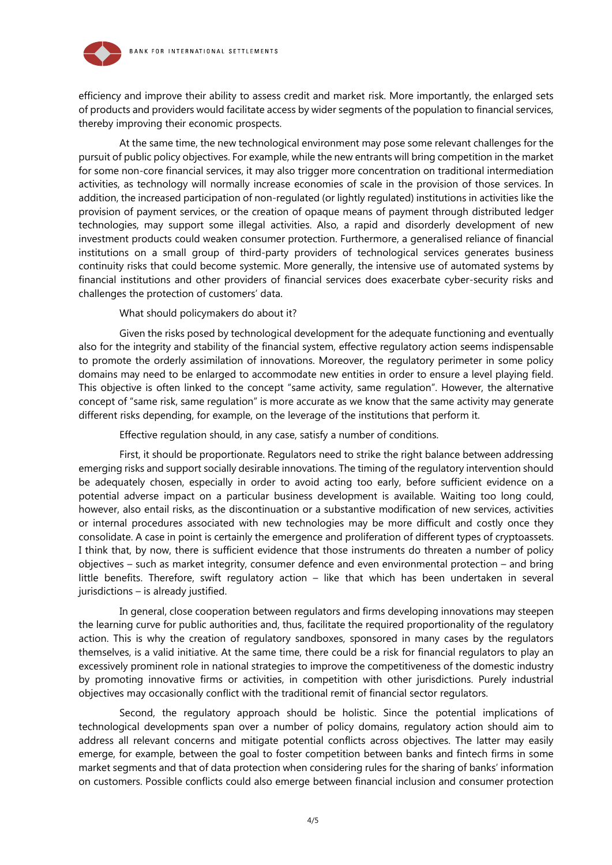

efficiency and improve their ability to assess credit and market risk. More importantly, the enlarged sets of products and providers would facilitate access by wider segments of the population to financial services, thereby improving their economic prospects.

At the same time, the new technological environment may pose some relevant challenges for the pursuit of public policy objectives. For example, while the new entrants will bring competition in the market for some non-core financial services, it may also trigger more concentration on traditional intermediation activities, as technology will normally increase economies of scale in the provision of those services. In addition, the increased participation of non-regulated (or lightly regulated) institutions in activities like the provision of payment services, or the creation of opaque means of payment through distributed ledger technologies, may support some illegal activities. Also, a rapid and disorderly development of new investment products could weaken consumer protection. Furthermore, a generalised reliance of financial institutions on a small group of third-party providers of technological services generates business continuity risks that could become systemic. More generally, the intensive use of automated systems by financial institutions and other providers of financial services does exacerbate cyber-security risks and challenges the protection of customers' data.

What should policymakers do about it?

Given the risks posed by technological development for the adequate functioning and eventually also for the integrity and stability of the financial system, effective regulatory action seems indispensable to promote the orderly assimilation of innovations. Moreover, the regulatory perimeter in some policy domains may need to be enlarged to accommodate new entities in order to ensure a level playing field. This objective is often linked to the concept "same activity, same regulation". However, the alternative concept of "same risk, same regulation" is more accurate as we know that the same activity may generate different risks depending, for example, on the leverage of the institutions that perform it.

Effective regulation should, in any case, satisfy a number of conditions.

First, it should be proportionate. Regulators need to strike the right balance between addressing emerging risks and support socially desirable innovations. The timing of the regulatory intervention should be adequately chosen, especially in order to avoid acting too early, before sufficient evidence on a potential adverse impact on a particular business development is available. Waiting too long could, however, also entail risks, as the discontinuation or a substantive modification of new services, activities or internal procedures associated with new technologies may be more difficult and costly once they consolidate. A case in point is certainly the emergence and proliferation of different types of cryptoassets. I think that, by now, there is sufficient evidence that those instruments do threaten a number of policy objectives – such as market integrity, consumer defence and even environmental protection – and bring little benefits. Therefore, swift regulatory action – like that which has been undertaken in several jurisdictions – is already justified.

In general, close cooperation between regulators and firms developing innovations may steepen the learning curve for public authorities and, thus, facilitate the required proportionality of the regulatory action. This is why the creation of regulatory sandboxes, sponsored in many cases by the regulators themselves, is a valid initiative. At the same time, there could be a risk for financial regulators to play an excessively prominent role in national strategies to improve the competitiveness of the domestic industry by promoting innovative firms or activities, in competition with other jurisdictions. Purely industrial objectives may occasionally conflict with the traditional remit of financial sector regulators.

Second, the regulatory approach should be holistic. Since the potential implications of technological developments span over a number of policy domains, regulatory action should aim to address all relevant concerns and mitigate potential conflicts across objectives. The latter may easily emerge, for example, between the goal to foster competition between banks and fintech firms in some market segments and that of data protection when considering rules for the sharing of banks' information on customers. Possible conflicts could also emerge between financial inclusion and consumer protection